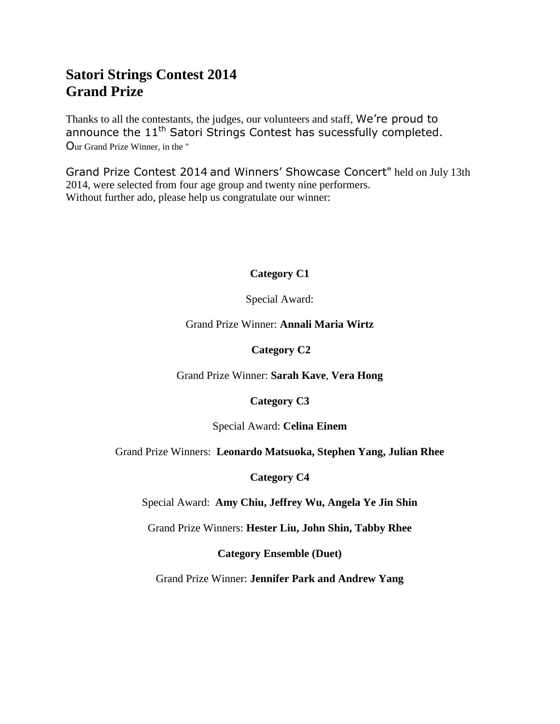## **Satori Strings Contest 2014 Grand Prize**

Thanks to all the contestants, the judges, our volunteers and staff, We're proud to announce the 11<sup>th</sup> Satori Strings Contest has sucessfully completed. Our Grand Prize Winner, in the "

Grand Prize Contest 2014 and Winners' Showcase Concert" held on July 13th 2014, were selected from four age group and twenty nine performers. Without further ado, please help us congratulate our winner:

#### **Category C1**

Special Award:

Grand Prize Winner: **Annali Maria Wirtz**

**Category C2**

Grand Prize Winner: **Sarah Kave**, **Vera Hong**

**Category C3**

Special Award: **Celina Einem**

Grand Prize Winners: **Leonardo Matsuoka, Stephen Yang, Julian Rhee**

**Category C4**

Special Award: **Amy Chiu, Jeffrey Wu, Angela Ye Jin Shin**

Grand Prize Winners: **Hester Liu, John Shin, Tabby Rhee**

**Category Ensemble (Duet)**

Grand Prize Winner: **Jennifer Park and Andrew Yang**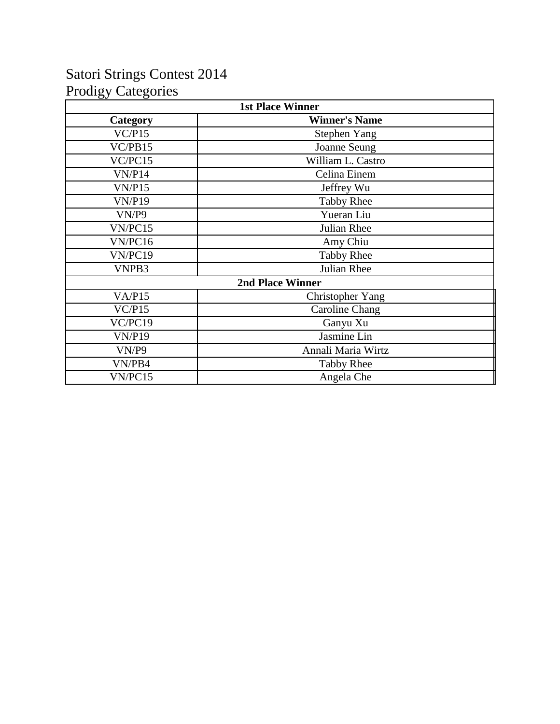## Satori Strings Contest 2014 Prodigy Categories

| <b>1st Place Winner</b> |                         |  |
|-------------------------|-------------------------|--|
| Category                | <b>Winner's Name</b>    |  |
| VC/P15                  | <b>Stephen Yang</b>     |  |
| VC/PB15                 | Joanne Seung            |  |
| VC/PC15                 | William L. Castro       |  |
| VN/P14                  | Celina Einem            |  |
| VN/P15                  | Jeffrey Wu              |  |
| <b>VN/P19</b>           | <b>Tabby Rhee</b>       |  |
| VN/P9                   | Yueran Liu              |  |
| VN/PC15                 | Julian Rhee             |  |
| VN/PC16                 | Amy Chiu                |  |
| VN/PC19                 | <b>Tabby Rhee</b>       |  |
| VNPB3                   | Julian Rhee             |  |
|                         | <b>2nd Place Winner</b> |  |
| VA/P15                  | <b>Christopher Yang</b> |  |
| VC/P15                  | Caroline Chang          |  |
| VC/PC19                 | Ganyu Xu                |  |
| VN/P19                  | Jasmine Lin             |  |
| VN/P9                   | Annali Maria Wirtz      |  |
| VN/PB4                  | <b>Tabby Rhee</b>       |  |
| VN/PC15                 | Angela Che              |  |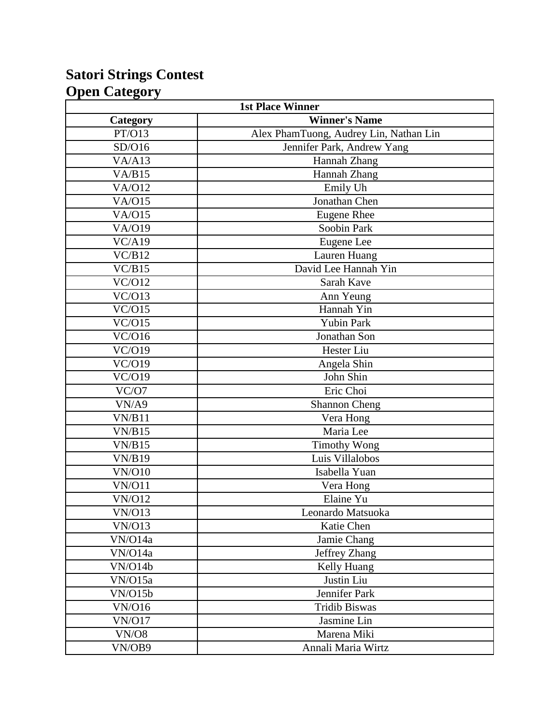## **Satori Strings Contest Open Category**

| <b>1st Place Winner</b>    |                                        |
|----------------------------|----------------------------------------|
| Category                   | <b>Winner's Name</b>                   |
| PT/O13                     | Alex PhamTuong, Audrey Lin, Nathan Lin |
| SD/O16                     | Jennifer Park, Andrew Yang             |
| VA/A13                     | Hannah Zhang                           |
| VA/B15                     | Hannah Zhang                           |
| <b>VA/O12</b>              | Emily Uh                               |
| <b>VA/O15</b>              | Jonathan Chen                          |
| <b>VA/O15</b>              | <b>Eugene Rhee</b>                     |
| <b>VA/O19</b>              | Soobin Park                            |
| VC/Al9                     | Eugene Lee                             |
| VC/B12                     | Lauren Huang                           |
| VC/B15                     | David Lee Hannah Yin                   |
| VC/O12                     | Sarah Kave                             |
| VC/O13                     | Ann Yeung                              |
| VC/O15                     | Hannah Yin                             |
| $\sqrt{\frac{C}{O15}}$     | Yubin Park                             |
| VC/O16                     | Jonathan Son                           |
| VC/019                     | <b>Hester Liu</b>                      |
| VC/O19                     | Angela Shin                            |
| VC/O19                     | John Shin                              |
| VC/O7                      | Eric Choi                              |
| VN/A9                      | <b>Shannon Cheng</b>                   |
| VN/B11                     | Vera Hong                              |
| VN/B15                     | Maria Lee                              |
| VN/B15                     | <b>Timothy Wong</b>                    |
| VN/B19                     | Luis Villalobos                        |
| VN/O10                     | Isabella Yuan                          |
| <b>VN/O11</b>              | Vera Hong                              |
| <b>VN/O12</b>              | Elaine Yu                              |
| $\overline{\text{VN}}$ 013 | Leonardo Matsuoka                      |
| VN/O13                     | Katie Chen                             |
| VN/O14a                    | Jamie Chang                            |
| VN/O14a                    | Jeffrey Zhang                          |
| VN/O14b                    | Kelly Huang                            |
| VN/O15a                    | Justin Liu                             |
| VN/O15b                    | Jennifer Park                          |
| <b>VN/O16</b>              | <b>Tridib Biswas</b>                   |
| <b>VN/O17</b>              | Jasmine Lin                            |
| <b>VN/O8</b>               | Marena Miki                            |
| VN/OB9                     | Annali Maria Wirtz                     |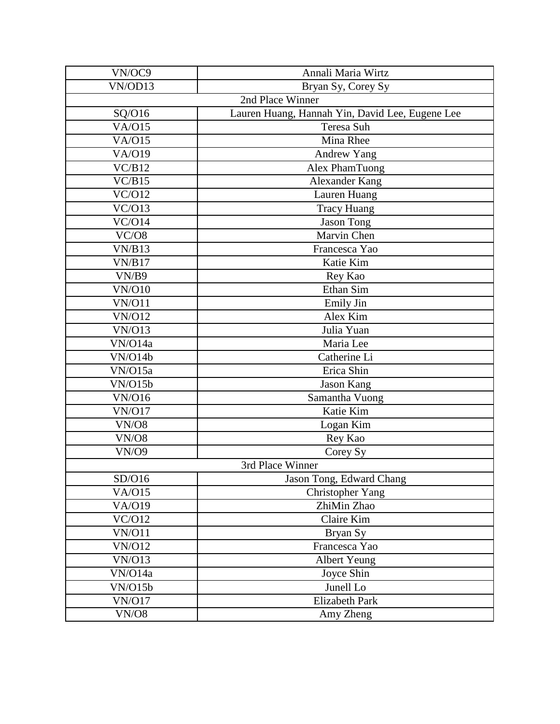| VN/OC9        | Annali Maria Wirtz                              |  |
|---------------|-------------------------------------------------|--|
| VN/OD13       | Bryan Sy, Corey Sy                              |  |
|               | 2nd Place Winner                                |  |
| SQ/O16        | Lauren Huang, Hannah Yin, David Lee, Eugene Lee |  |
| VA/O15        | Teresa Suh                                      |  |
| <b>VA/O15</b> | Mina Rhee                                       |  |
| VA/019        | <b>Andrew Yang</b>                              |  |
| VC/B12        | Alex PhamTuong                                  |  |
| VC/B15        | <b>Alexander Kang</b>                           |  |
| VC/O12        | Lauren Huang                                    |  |
| VC/O13        | <b>Tracy Huang</b>                              |  |
| VC/O14        | <b>Jason Tong</b>                               |  |
| VC/08         | Marvin Chen                                     |  |
| VN/B13        | Francesca Yao                                   |  |
| VN/B17        | Katie Kim                                       |  |
| VN/B9         | Rey Kao                                         |  |
| <b>VN/O10</b> | Ethan Sim                                       |  |
| <b>VN/O11</b> | Emily Jin                                       |  |
| <b>VN/O12</b> | Alex Kim                                        |  |
| <b>VN/O13</b> | Julia Yuan                                      |  |
| VN/O14a       | Maria Lee                                       |  |
| VN/O14b       | Catherine Li                                    |  |
| VN/O15a       | Erica Shin                                      |  |
| VN/O15b       | <b>Jason Kang</b>                               |  |
| <b>VN/O16</b> | Samantha Vuong                                  |  |
| <b>VN/O17</b> | Katie Kim                                       |  |
| <b>VN/O8</b>  | Logan Kim                                       |  |
| <b>VN/O8</b>  | Rey Kao                                         |  |
| <b>VN/O9</b>  | Corey Sy                                        |  |
|               | 3rd Place Winner                                |  |
| SD/O16        | Jason Tong, Edward Chang                        |  |
| <b>VA/O15</b> | Christopher Yang                                |  |
| VA/O19        | ZhiMin Zhao                                     |  |
| VC/O12        | Claire Kim                                      |  |
| <b>VN/O11</b> | Bryan Sy                                        |  |
| <b>VN/O12</b> | Francesca Yao                                   |  |
| <b>VN/O13</b> | <b>Albert Yeung</b>                             |  |
| VN/O14a       | Joyce Shin                                      |  |
| VN/O15b       | Junell Lo                                       |  |
| <b>VN/O17</b> | <b>Elizabeth Park</b>                           |  |
| <b>VN/O8</b>  | Amy Zheng                                       |  |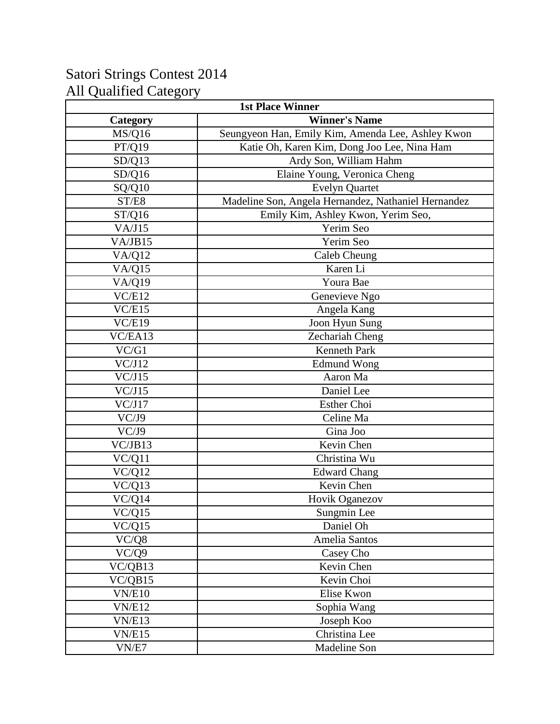# Satori Strings Contest 2014 All Qualified Category

| <b>1st Place Winner</b> |                                                     |
|-------------------------|-----------------------------------------------------|
| Category                | <b>Winner's Name</b>                                |
| MS/Q16                  | Seungyeon Han, Emily Kim, Amenda Lee, Ashley Kwon   |
| PT/Q19                  | Katie Oh, Karen Kim, Dong Joo Lee, Nina Ham         |
| SD/Q13                  | Ardy Son, William Hahm                              |
| SD/Q16                  | Elaine Young, Veronica Cheng                        |
| SQ/Q10                  | <b>Evelyn Quartet</b>                               |
| ST/E8                   | Madeline Son, Angela Hernandez, Nathaniel Hernandez |
| ST/Q16                  | Emily Kim, Ashley Kwon, Yerim Seo,                  |
| VA/J15                  | Yerim Seo                                           |
| VA/JB15                 | Yerim Seo                                           |
| VA/Q12                  | Caleb Cheung                                        |
| VA/Q15                  | Karen Li                                            |
| <b>VA/Q19</b>           | Youra Bae                                           |
| VC/E12                  | Genevieve Ngo                                       |
| VC/E15                  | Angela Kang                                         |
| VC/E19                  | Joon Hyun Sung                                      |
| VC/EA13                 | Zechariah Cheng                                     |
| VC/G1                   | <b>Kenneth Park</b>                                 |
| VC/J12                  | <b>Edmund Wong</b>                                  |
| VC/J15                  | Aaron Ma                                            |
| VC/J15                  | Daniel Lee                                          |
| VC/J17                  | <b>Esther Choi</b>                                  |
| VC/J9                   | Celine Ma                                           |
| VC/J9                   | $\overline{G}$ ina Joo                              |
| VC/JB13                 | Kevin Chen                                          |
| VC/Q11                  | Christina Wu                                        |
| VC/Q12                  | <b>Edward Chang</b>                                 |
| VC/Q13                  | Kevin Chen                                          |
| $\overline{VC}/Q14$     | Hovik Oganezov                                      |
| VC/Q15                  | Sungmin Lee                                         |
| VC/Q15                  | Daniel Oh                                           |
| VC/Q8                   | Amelia Santos                                       |
| VC/Q9                   | Casey Cho                                           |
| VC/QB13                 | Kevin Chen                                          |
| VC/QB15                 | Kevin Choi                                          |
| VN/E10                  | Elise Kwon                                          |
| <b>VN/E12</b>           | Sophia Wang                                         |
| <b>VN/E13</b>           | Joseph Koo                                          |
| <b>VN/E15</b>           | Christina Lee                                       |
| VN/E7                   | Madeline Son                                        |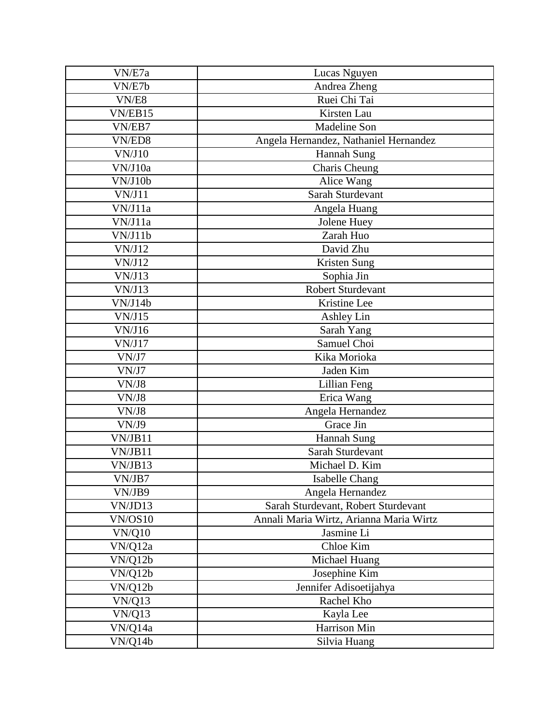| VN/E7a             | Lucas Nguyen                            |
|--------------------|-----------------------------------------|
| VN/E7b             | Andrea Zheng                            |
| $\overline{V}N/E8$ | Ruei Chi Tai                            |
| VN/EB15            | Kirsten Lau                             |
| VN/EB7             | <b>Madeline Son</b>                     |
| VN/ED8             | Angela Hernandez, Nathaniel Hernandez   |
| VN/J10             | Hannah Sung                             |
| VN/J10a            | Charis Cheung                           |
| VN/J10b            | Alice Wang                              |
| VN/J11             | Sarah Sturdevant                        |
| VN/J11a            | Angela Huang                            |
| VN/J11a            | Jolene Huey                             |
| VN/J11b            | Zarah Huo                               |
| VN/J12             | David Zhu                               |
| VN/J12             | Kristen Sung                            |
| VN/J13             | Sophia Jin                              |
| VN/J13             | <b>Robert Sturdevant</b>                |
| VN/J14b            | Kristine Lee                            |
| VN/J15             | Ashley Lin                              |
| VN/J16             | Sarah Yang                              |
| VN/J17             | Samuel Choi                             |
| VN/J7              | Kika Morioka                            |
| VN/J7              | Jaden Kim                               |
| VN/J8              | Lillian Feng                            |
| VN/J8              | Erica Wang                              |
| VN/J8              | Angela Hernandez                        |
| VN/J9              | Grace Jin                               |
| VN/JB11            | Hannah Sung                             |
| VN/JB11            | Sarah Sturdevant                        |
| VN/JB13            | Michael D. Kim                          |
| VN/JB7             | Isabelle Chang                          |
| VN/JB9             | Angela Hernandez                        |
| VN/JD13            | Sarah Sturdevant, Robert Sturdevant     |
| VN/OS10            | Annali Maria Wirtz, Arianna Maria Wirtz |
| <b>VN/Q10</b>      | Jasmine Li                              |
| VN/Q12a            | Chloe Kim                               |
| VN/Q12b            | Michael Huang                           |
| VN/Q12b            | Josephine Kim                           |
| VN/Q12b            | Jennifer Adisoetijahya                  |
| VN/Q13             | Rachel Kho                              |
| VN/Q13             | Kayla Lee                               |
| VN/Q14a            | Harrison Min                            |
| VN/Q14b            | Silvia Huang                            |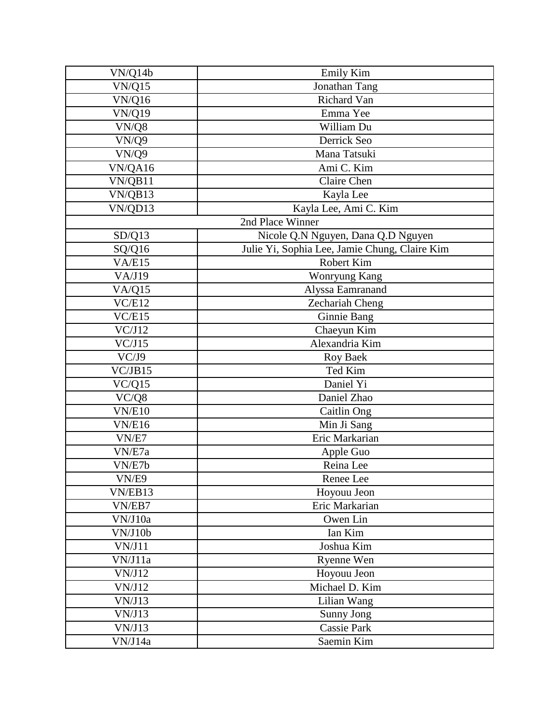| VN/Q14b       | <b>Emily Kim</b>                              |
|---------------|-----------------------------------------------|
| VN/Q15        | Jonathan Tang                                 |
| <b>VN/Q16</b> | Richard Van                                   |
| <b>VN/Q19</b> | Emma Yee                                      |
| VN/Q8         | William Du                                    |
| VN/Q9         | Derrick Seo                                   |
| VN/Q9         | Mana Tatsuki                                  |
| VN/QA16       | Ami C. Kim                                    |
| VN/QB11       | Claire Chen                                   |
| VN/QB13       | Kayla Lee                                     |
| VN/QD13       | Kayla Lee, Ami C. Kim                         |
|               | 2nd Place Winner                              |
| SD/Q13        | Nicole Q.N Nguyen, Dana Q.D Nguyen            |
| SQ/Q16        | Julie Yi, Sophia Lee, Jamie Chung, Claire Kim |
| VA/E15        | Robert Kim                                    |
| VA/J19        | Wonryung Kang                                 |
| VA/Q15        | Alyssa Eamranand                              |
| VC/E12        | Zechariah Cheng                               |
| VC/E15        | Ginnie Bang                                   |
| VC/J12        | Chaeyun Kim                                   |
| VC/J15        | Alexandria Kim                                |
| VC/J9         | <b>Roy Baek</b>                               |
| VC/JB15       | Ted Kim                                       |
| VC/Q15        | Daniel Yi                                     |
| VC/Q8         | Daniel Zhao                                   |
| VN/E10        | Caitlin Ong                                   |
| <b>VN/E16</b> | Min Ji Sang                                   |
| VN/E7         | Eric Markarian                                |
| VN/E7a        | Apple Guo                                     |
| VN/E7b        | Reina Lee                                     |
| VN/E9         | Renee Lee                                     |
| VN/EB13       | Hoyouu Jeon                                   |
| VN/EB7        | Eric Markarian                                |
| VN/J10a       | Owen Lin                                      |
| VN/J10b       | Ian Kim                                       |
| VN/J11        | Joshua Kim                                    |
| VN/J11a       | Ryenne Wen                                    |
| VN/J12        | Hoyouu Jeon                                   |
| VN/J12        | Michael D. Kim                                |
| VN/J13        | Lilian Wang                                   |
| VN/J13        | Sunny Jong                                    |
| VN/J13        | <b>Cassie Park</b>                            |
| VN/J14a       | Saemin Kim                                    |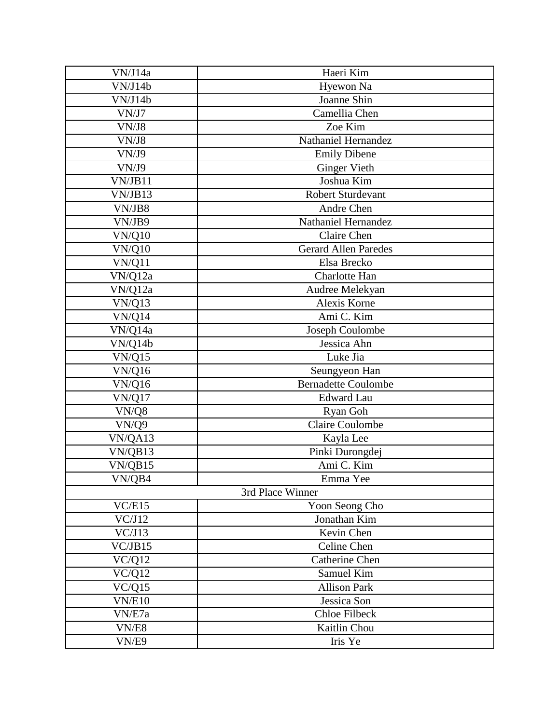| VN/J14a             | Haeri Kim                   |
|---------------------|-----------------------------|
| VN/J14b             | Hyewon Na                   |
| VN/J14b             | Joanne Shin                 |
| VN/J7               | Camellia Chen               |
| VN/J8               | Zoe Kim                     |
| VN/J8               | Nathaniel Hernandez         |
| VN/J9               | <b>Emily Dibene</b>         |
| VN/J9               | <b>Ginger Vieth</b>         |
| VN/JB11             | Joshua Kim                  |
| VN/JB13             | <b>Robert Sturdevant</b>    |
| VN/JB8              | Andre Chen                  |
| VN/JB9              | Nathaniel Hernandez         |
| VN/Q10              | Claire Chen                 |
| <b>VN/Q10</b>       | <b>Gerard Allen Paredes</b> |
| VN/Q11              | Elsa Brecko                 |
| VN/Q12a             | Charlotte Han               |
| VN/Q12a             | Audree Melekyan             |
| VN/Q13              | Alexis Korne                |
| VN/Q14              | Ami C. Kim                  |
| VN/Q14a             | Joseph Coulombe             |
| VN/Q14b             | Jessica Ahn                 |
| VN/Q15              | Luke Jia                    |
| <b>VN/Q16</b>       | Seungyeon Han               |
| <b>VN/Q16</b>       | <b>Bernadette Coulombe</b>  |
| VN/Q17              | <b>Edward Lau</b>           |
| VN/Q8               | Ryan Goh                    |
| VN/Q9               | <b>Claire Coulombe</b>      |
| VN/QA13             | Kayla Lee                   |
| VN/QB13             | Pinki Durongdej             |
| VN/QB15             | Ami C. Kim                  |
| VN/QB4              | Emma Yee                    |
|                     | 3rd Place Winner            |
| VC/E15              | Yoon Seong Cho              |
| VC/J12              | Jonathan Kim                |
| VC/J13              | Kevin Chen                  |
| VC/JB15             | Celine Chen                 |
| VC/Q12              | <b>Catherine Chen</b>       |
| VC/Q12              | Samuel Kim                  |
| $\overline{V}C/Q15$ | <b>Allison Park</b>         |
| <b>VN/E10</b>       | Jessica Son                 |
| VN/E7a              | <b>Chloe Filbeck</b>        |
| VN/E8               | Kaitlin Chou                |
| VN/E9               | Iris Ye                     |